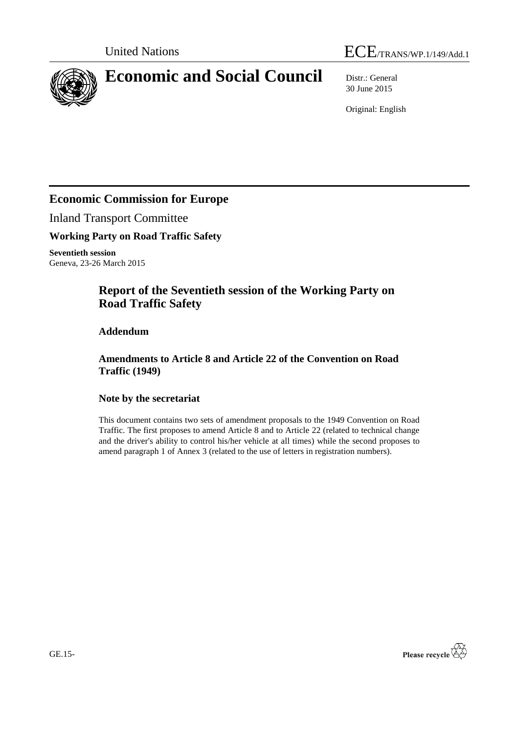



# **Economic and Social Council** Distr.: General

30 June 2015

Original: English

# **Economic Commission for Europe**

Inland Transport Committee

**Working Party on Road Traffic Safety**

**Seventieth session** Geneva, 23-26 March 2015

# **Report of the Seventieth session of the Working Party on Road Traffic Safety**

## **Addendum**

**Amendments to Article 8 and Article 22 of the Convention on Road Traffic (1949)**

### **Note by the secretariat**

This document contains two sets of amendment proposals to the 1949 Convention on Road Traffic. The first proposes to amend Article 8 and to Article 22 (related to technical change and the driver's ability to control his/her vehicle at all times) while the second proposes to amend paragraph 1 of Annex 3 (related to the use of letters in registration numbers).

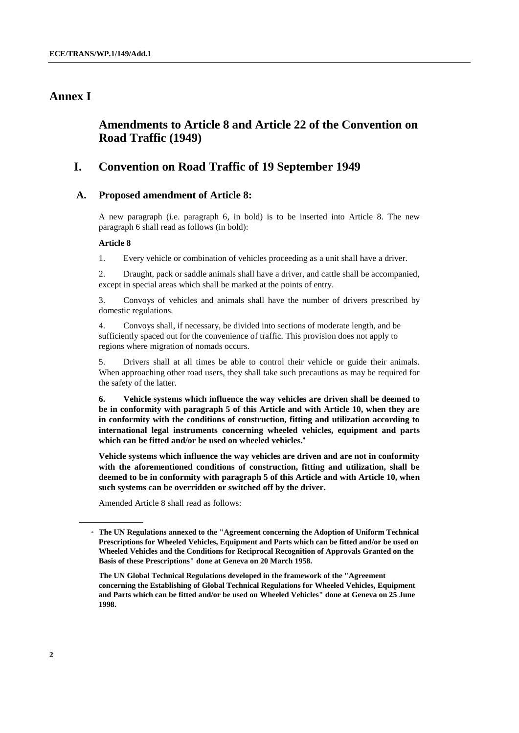# **Annex I**

# **Amendments to Article 8 and Article 22 of the Convention on Road Traffic (1949)**

# **I. Convention on Road Traffic of 19 September 1949**

### **A. Proposed amendment of Article 8:**

A new paragraph (i.e. paragraph 6, in bold) is to be inserted into Article 8. The new paragraph 6 shall read as follows (in bold):

#### **Article 8**

1. Every vehicle or combination of vehicles proceeding as a unit shall have a driver.

2. Draught, pack or saddle animals shall have a driver, and cattle shall be accompanied, except in special areas which shall be marked at the points of entry.

3. Convoys of vehicles and animals shall have the number of drivers prescribed by domestic regulations.

4. Convoys shall, if necessary, be divided into sections of moderate length, and be sufficiently spaced out for the convenience of traffic. This provision does not apply to regions where migration of nomads occurs.

5. Drivers shall at all times be able to control their vehicle or guide their animals. When approaching other road users, they shall take such precautions as may be required for the safety of the latter.

**6. Vehicle systems which influence the way vehicles are driven shall be deemed to be in conformity with paragraph 5 of this Article and with Article 10, when they are in conformity with the conditions of construction, fitting and utilization according to international legal instruments concerning wheeled vehicles, equipment and parts which can be fitted and/or be used on wheeled vehicles.**

**Vehicle systems which influence the way vehicles are driven and are not in conformity with the aforementioned conditions of construction, fitting and utilization, shall be deemed to be in conformity with paragraph 5 of this Article and with Article 10, when such systems can be overridden or switched off by the driver.** 

Amended Article 8 shall read as follows:

**The UN Global Technical Regulations developed in the framework of the "Agreement concerning the Establishing of Global Technical Regulations for Wheeled Vehicles, Equipment and Parts which can be fitted and/or be used on Wheeled Vehicles" done at Geneva on 25 June 1998.** 

<sup>\*</sup> **The UN Regulations annexed to the "Agreement concerning the Adoption of Uniform Technical Prescriptions for Wheeled Vehicles, Equipment and Parts which can be fitted and/or be used on Wheeled Vehicles and the Conditions for Reciprocal Recognition of Approvals Granted on the Basis of these Prescriptions" done at Geneva on 20 March 1958.**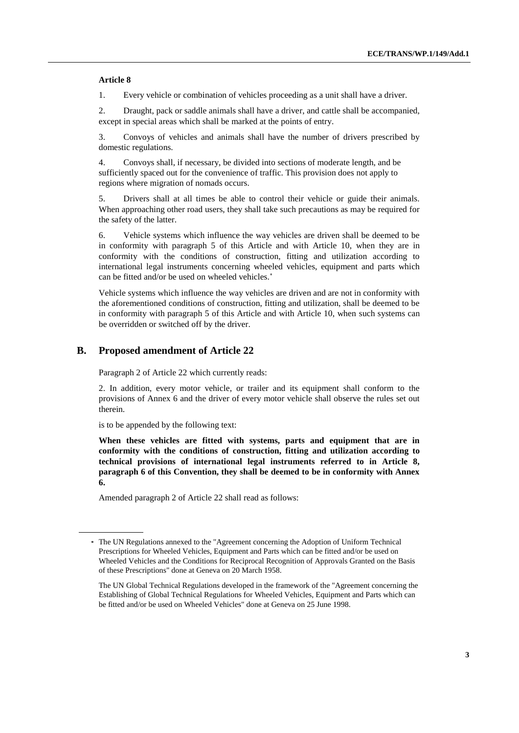#### **Article 8**

1. Every vehicle or combination of vehicles proceeding as a unit shall have a driver.

2. Draught, pack or saddle animals shall have a driver, and cattle shall be accompanied, except in special areas which shall be marked at the points of entry.

3. Convoys of vehicles and animals shall have the number of drivers prescribed by domestic regulations.

4. Convoys shall, if necessary, be divided into sections of moderate length, and be sufficiently spaced out for the convenience of traffic. This provision does not apply to regions where migration of nomads occurs.

5. Drivers shall at all times be able to control their vehicle or guide their animals. When approaching other road users, they shall take such precautions as may be required for the safety of the latter.

6. Vehicle systems which influence the way vehicles are driven shall be deemed to be in conformity with paragraph 5 of this Article and with Article 10, when they are in conformity with the conditions of construction, fitting and utilization according to international legal instruments concerning wheeled vehicles, equipment and parts which can be fitted and/or be used on wheeled vehicles.

Vehicle systems which influence the way vehicles are driven and are not in conformity with the aforementioned conditions of construction, fitting and utilization, shall be deemed to be in conformity with paragraph 5 of this Article and with Article 10, when such systems can be overridden or switched off by the driver.

### **B. Proposed amendment of Article 22**

Paragraph 2 of Article 22 which currently reads:

2. In addition, every motor vehicle, or trailer and its equipment shall conform to the provisions of Annex 6 and the driver of every motor vehicle shall observe the rules set out therein.

is to be appended by the following text:

**When these vehicles are fitted with systems, parts and equipment that are in conformity with the conditions of construction, fitting and utilization according to technical provisions of international legal instruments referred to in Article 8, paragraph 6 of this Convention, they shall be deemed to be in conformity with Annex 6.**

Amended paragraph 2 of Article 22 shall read as follows:

**<sup>\*</sup>** The UN Regulations annexed to the "Agreement concerning the Adoption of Uniform Technical Prescriptions for Wheeled Vehicles, Equipment and Parts which can be fitted and/or be used on Wheeled Vehicles and the Conditions for Reciprocal Recognition of Approvals Granted on the Basis of these Prescriptions" done at Geneva on 20 March 1958.

The UN Global Technical Regulations developed in the framework of the "Agreement concerning the Establishing of Global Technical Regulations for Wheeled Vehicles, Equipment and Parts which can be fitted and/or be used on Wheeled Vehicles" done at Geneva on 25 June 1998.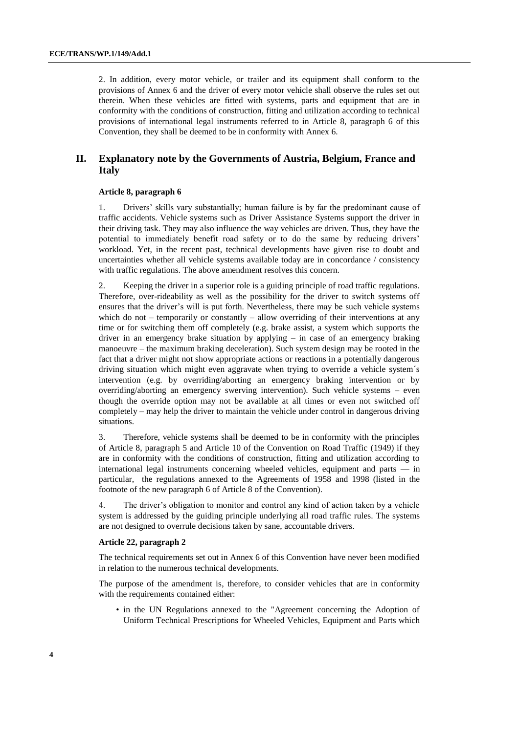2. In addition, every motor vehicle, or trailer and its equipment shall conform to the provisions of Annex 6 and the driver of every motor vehicle shall observe the rules set out therein. When these vehicles are fitted with systems, parts and equipment that are in conformity with the conditions of construction, fitting and utilization according to technical provisions of international legal instruments referred to in Article 8, paragraph 6 of this Convention, they shall be deemed to be in conformity with Annex 6.

### **II. Explanatory note by the Governments of Austria, Belgium, France and Italy**

#### **Article 8, paragraph 6**

1. Drivers' skills vary substantially; human failure is by far the predominant cause of traffic accidents. Vehicle systems such as Driver Assistance Systems support the driver in their driving task. They may also influence the way vehicles are driven. Thus, they have the potential to immediately benefit road safety or to do the same by reducing drivers' workload. Yet, in the recent past, technical developments have given rise to doubt and uncertainties whether all vehicle systems available today are in concordance / consistency with traffic regulations. The above amendment resolves this concern.

2. Keeping the driver in a superior role is a guiding principle of road traffic regulations. Therefore, over-rideability as well as the possibility for the driver to switch systems off ensures that the driver's will is put forth. Nevertheless, there may be such vehicle systems which do not – temporarily or constantly – allow overriding of their interventions at any time or for switching them off completely (e.g. brake assist, a system which supports the driver in an emergency brake situation by applying – in case of an emergency braking manoeuvre – the maximum braking deceleration). Such system design may be rooted in the fact that a driver might not show appropriate actions or reactions in a potentially dangerous driving situation which might even aggravate when trying to override a vehicle system´s intervention (e.g. by overriding/aborting an emergency braking intervention or by overriding/aborting an emergency swerving intervention). Such vehicle systems – even though the override option may not be available at all times or even not switched off completely – may help the driver to maintain the vehicle under control in dangerous driving situations.

3. Therefore, vehicle systems shall be deemed to be in conformity with the principles of Article 8, paragraph 5 and Article 10 of the Convention on Road Traffic (1949) if they are in conformity with the conditions of construction, fitting and utilization according to international legal instruments concerning wheeled vehicles, equipment and parts — in particular, the regulations annexed to the Agreements of 1958 and 1998 (listed in the footnote of the new paragraph 6 of Article 8 of the Convention).

4. The driver's obligation to monitor and control any kind of action taken by a vehicle system is addressed by the guiding principle underlying all road traffic rules. The systems are not designed to overrule decisions taken by sane, accountable drivers.

#### **Article 22, paragraph 2**

The technical requirements set out in Annex 6 of this Convention have never been modified in relation to the numerous technical developments.

The purpose of the amendment is, therefore, to consider vehicles that are in conformity with the requirements contained either:

• in the UN Regulations annexed to the "Agreement concerning the Adoption of Uniform Technical Prescriptions for Wheeled Vehicles, Equipment and Parts which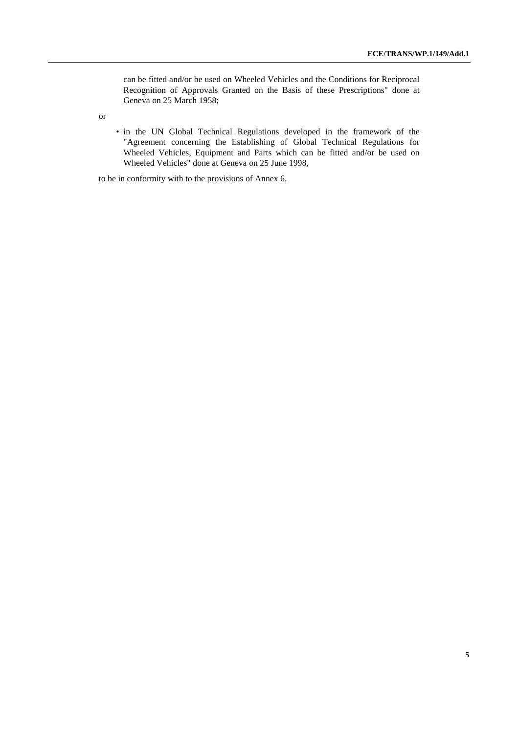can be fitted and/or be used on Wheeled Vehicles and the Conditions for Reciprocal Recognition of Approvals Granted on the Basis of these Prescriptions" done at Geneva on 25 March 1958;

or

• in the UN Global Technical Regulations developed in the framework of the "Agreement concerning the Establishing of Global Technical Regulations for Wheeled Vehicles, Equipment and Parts which can be fitted and/or be used on Wheeled Vehicles" done at Geneva on 25 June 1998,

to be in conformity with to the provisions of Annex 6.